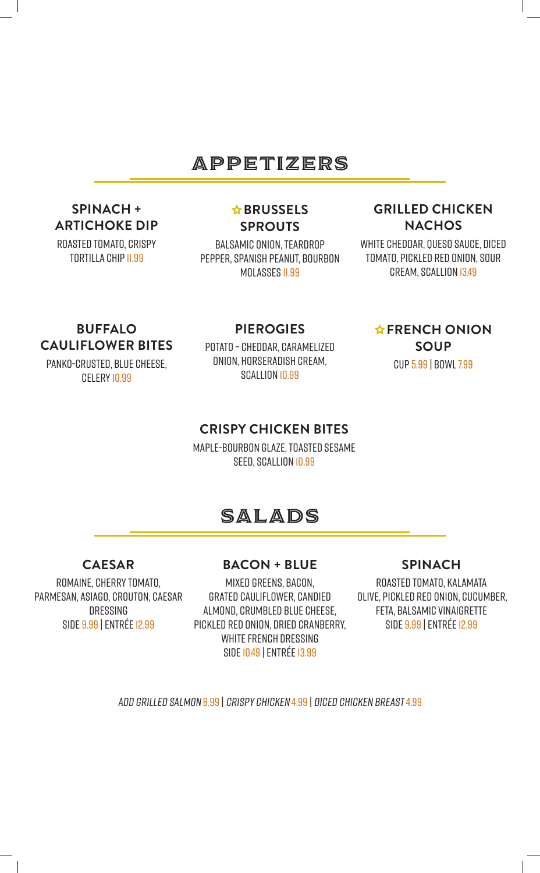## APPETIZERS

## **SPINACH + ARTICHOKE DIP**

ROASTED TOMATO, CRISPY TORTILLA CHIP 11.99

### **A**BRUSSELS **SPROUTS**

BALSAMIC ONION, TEARDROP PEPPER, SPANISH PEANUT, BOURBON MOLASSES II.99

### **GRILLED CHICKEN NACHOS**

WHITE CHEDDAR, QUESO SAUCE, DICED TOMATO, PICKLED RED ONION, SOUR CREAM, SCALLION 13.49

**FRENCH ONION SOUP**

CUP 5.99 | BOWL 7.99

### **BUFFALO CAULIFLOWER BITES**

PANKO-CRUSTED, BLUE CHEESE, CELERY 10.99

#### **PIEROGIES**

POTATO – CHEDDAR, CARAMELIZED ONION, HORSERADISH CREAM, SCALLION 10.99

### **CRISPY CHICKEN BITES**

MAPLE-BOURBON GLAZE, TOASTED SESAME SEED, SCALLION 10.99

# salads

**BACON + BLUE**

### **CAESAR**

ROMAINE, CHERRY TOMATO, PARMESAN, ASIAGO, CROUTON, CAESAR DRESSING SIDE 9.99 |ENTRÉE 12.99

MIXED GREENS, BACON, GRATED CAULIFLOWER, CANDIED ALMOND, CRUMBLED BLUE CHEESE, PICKLED RED ONION, DRIED CRANBERRY, WHITE FRENCH DRESSING SIDE 10.49 |ENTRÉE 13.99

#### **SPINACH**

ROASTED TOMATO, KALAMATA OLIVE, PICKLED RED ONION, CUCUMBER, FETA, BALSAMIC VINAIGRETTE SIDE 9.99 |ENTRÉE 12.99

ADD GRILLED SALMON 8.99 | CRISPY CHICKEN 4.99 | DICED CHICKEN BREAST4.99